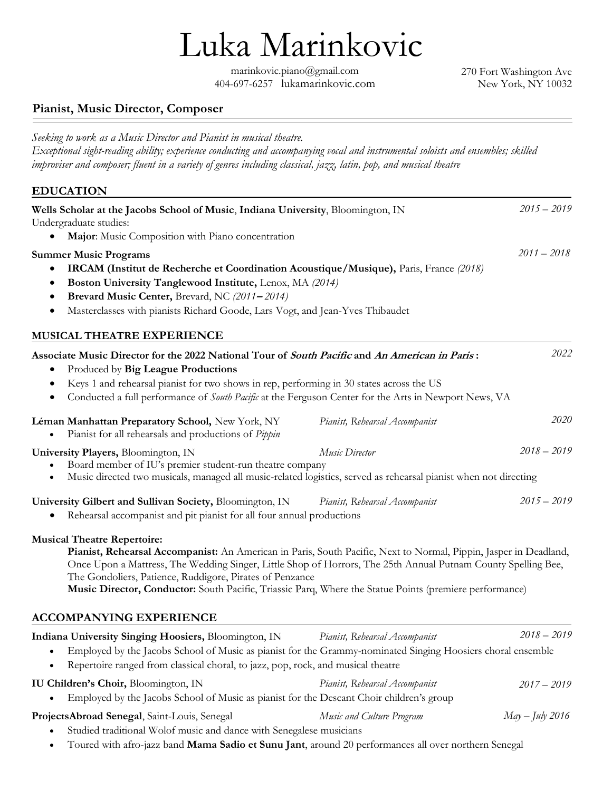marinkovic.piano@gmail.com 404-697-6257 lukamarinkovic.com Luka Marinkovic

270 Fort Washington Ave New York, NY 10032

## Pianist, Music Director, Composer

Seeking to work as a Music Director and Pianist in musical theatre. Exceptional sight-reading ability; experience conducting and accompanying vocal and instrumental soloists and ensembles; skilled improviser and composer; fluent in a variety of genres including classical, jazz, latin, pop, and musical theatre

## EDUCATION

| Wells Scholar at the Jacobs School of Music, Indiana University, Bloomington, IN<br>Undergraduate studies:                                                                                                                                                                                                                                                                                                                                                                       |                                | $2015 - 2019$   |
|----------------------------------------------------------------------------------------------------------------------------------------------------------------------------------------------------------------------------------------------------------------------------------------------------------------------------------------------------------------------------------------------------------------------------------------------------------------------------------|--------------------------------|-----------------|
| Major: Music Composition with Piano concentration                                                                                                                                                                                                                                                                                                                                                                                                                                |                                |                 |
| <b>Summer Music Programs</b><br>IRCAM (Institut de Recherche et Coordination Acoustique/Musique), Paris, France (2018)<br>Boston University Tanglewood Institute, Lenox, MA (2014)<br>Brevard Music Center, Brevard, NC (2011-2014)<br>Masterclasses with pianists Richard Goode, Lars Vogt, and Jean-Yves Thibaudet<br>$\bullet$                                                                                                                                                |                                | $2011 - 2018$   |
| MUSICAL THEATRE EXPERIENCE                                                                                                                                                                                                                                                                                                                                                                                                                                                       |                                |                 |
| Associate Music Director for the 2022 National Tour of South Pacific and An American in Paris:<br>Produced by Big League Productions<br>Keys 1 and rehearsal pianist for two shows in rep, performing in 30 states across the US<br>Conducted a full performance of South Pacific at the Ferguson Center for the Arts in Newport News, VA<br>٠                                                                                                                                   |                                | 2022            |
| Léman Manhattan Preparatory School, New York, NY<br>Pianist for all rehearsals and productions of Pippin                                                                                                                                                                                                                                                                                                                                                                         | Pianist, Rehearsal Accompanist | 2020            |
| University Players, Bloomington, IN<br>Board member of IU's premier student-run theatre company<br>Music directed two musicals, managed all music-related logistics, served as rehearsal pianist when not directing                                                                                                                                                                                                                                                              | Music Director                 | $2018 - 2019$   |
| University Gilbert and Sullivan Society, Bloomington, IN<br>Rehearsal accompanist and pit pianist for all four annual productions                                                                                                                                                                                                                                                                                                                                                | Pianist, Rehearsal Accompanist | $2015 - 2019$   |
| <b>Musical Theatre Repertoire:</b><br>Pianist, Rehearsal Accompanist: An American in Paris, South Pacific, Next to Normal, Pippin, Jasper in Deadland,<br>Once Upon a Mattress, The Wedding Singer, Little Shop of Horrors, The 25th Annual Putnam County Spelling Bee,<br>The Gondoliers, Patience, Ruddigore, Pirates of Penzance<br>Music Director, Conductor: South Pacific, Triassic Parq, Where the Statue Points (premiere performance)<br><b>ACCOMPANYING EXPERIENCE</b> |                                |                 |
| Indiana University Singing Hoosiers, Bloomington, IN                                                                                                                                                                                                                                                                                                                                                                                                                             | Pianist, Rehearsal Accompanist | $2018 - 2019$   |
| Employed by the Jacobs School of Music as pianist for the Grammy-nominated Singing Hoosiers choral ensemble<br>Repertoire ranged from classical choral, to jazz, pop, rock, and musical theatre                                                                                                                                                                                                                                                                                  |                                |                 |
| IU Children's Choir, Bloomington, IN<br>Employed by the Jacobs School of Music as pianist for the Descant Choir children's group                                                                                                                                                                                                                                                                                                                                                 | Pianist, Rehearsal Accompanist | $2017 - 2019$   |
| ProjectsAbroad Senegal, Saint-Louis, Senegal<br>Studied traditional Wolof music and dance with Senegalese musicians                                                                                                                                                                                                                                                                                                                                                              | Music and Culture Program      | May – July 2016 |

• Toured with afro-jazz band Mama Sadio et Sunu Jant, around 20 performances all over northern Senegal